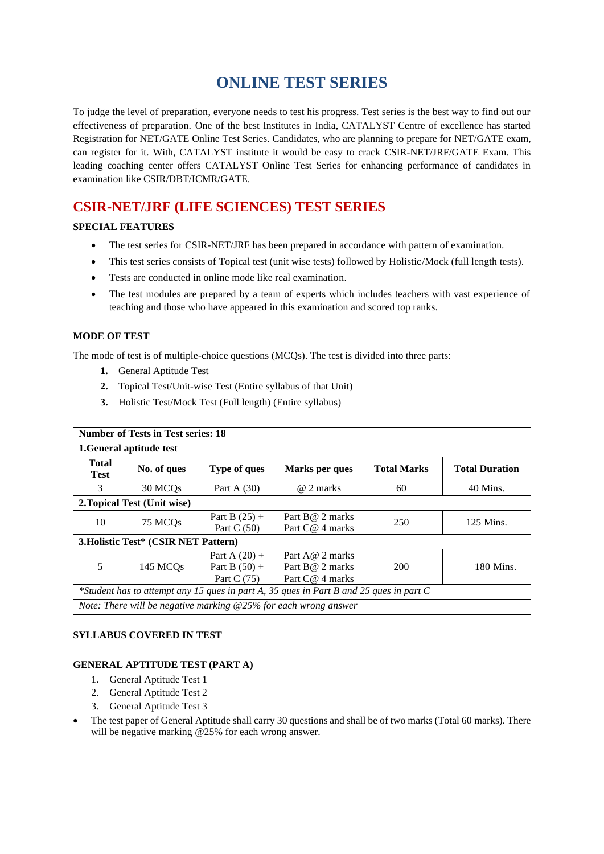# **ONLINE TEST SERIES**

To judge the level of preparation, everyone needs to test his progress. Test series is the best way to find out our effectiveness of preparation. One of the best Institutes in India, CATALYST Centre of excellence has started Registration for NET/GATE Online Test Series. Candidates, who are planning to prepare for NET/GATE exam, can register for it. With, CATALYST institute it would be easy to crack CSIR-NET/JRF/GATE Exam. This leading coaching center offers CATALYST Online Test Series for enhancing performance of candidates in examination like CSIR/DBT/ICMR/GATE.

# **CSIR-NET/JRF (LIFE SCIENCES) TEST SERIES**

# **SPECIAL FEATURES**

- The test series for CSIR-NET/JRF has been prepared in accordance with pattern of examination.
- This test series consists of Topical test (unit wise tests) followed by Holistic/Mock (full length tests).
- Tests are conducted in online mode like real examination.
- The test modules are prepared by a team of experts which includes teachers with vast experience of teaching and those who have appeared in this examination and scored top ranks.

# **MODE OF TEST**

The mode of test is of multiple-choice questions (MCQs). The test is divided into three parts:

- **1.** General Aptitude Test
- **2.** Topical Test/Unit-wise Test (Entire syllabus of that Unit)
- **3.** Holistic Test/Mock Test (Full length) (Entire syllabus)

| <b>Number of Tests in Test series: 18</b>                                              |                      |                                                     |                                                          |                    |                       |  |
|----------------------------------------------------------------------------------------|----------------------|-----------------------------------------------------|----------------------------------------------------------|--------------------|-----------------------|--|
| 1. General aptitude test                                                               |                      |                                                     |                                                          |                    |                       |  |
| <b>Total</b><br><b>Test</b>                                                            | No. of ques          | <b>Type of ques</b>                                 | Marks per ques                                           | <b>Total Marks</b> | <b>Total Duration</b> |  |
| 3                                                                                      | 30 MCQ <sub>s</sub>  | Part A $(30)$                                       | @ 2 marks                                                | 60                 | 40 Mins.              |  |
| 2. Topical Test (Unit wise)                                                            |                      |                                                     |                                                          |                    |                       |  |
| 10                                                                                     | 75 MCQs              | Part B $(25) +$<br>Part C $(50)$                    | Part B@ 2 marks<br>Part C@ 4 marks                       | 250                | 125 Mins.             |  |
| 3. Holistic Test* (CSIR NET Pattern)                                                   |                      |                                                     |                                                          |                    |                       |  |
| 5                                                                                      | 145 MCQ <sub>s</sub> | Part A $(20)$ +<br>Part B $(50) +$<br>Part C $(75)$ | Part A $@$ 2 marks<br>Part B@ 2 marks<br>Part C@ 4 marks | 200                | 180 Mins.             |  |
| *Student has to attempt any 15 ques in part A, 35 ques in Part B and 25 ques in part C |                      |                                                     |                                                          |                    |                       |  |
| Note: There will be negative marking $@25\%$ for each wrong answer                     |                      |                                                     |                                                          |                    |                       |  |

# **SYLLABUS COVERED IN TEST**

# **GENERAL APTITUDE TEST (PART A)**

- 1. General Aptitude Test 1
- 2. General Aptitude Test 2
- 3. General Aptitude Test 3
- The test paper of General Aptitude shall carry 30 questions and shall be of two marks (Total 60 marks). There will be negative marking @25% for each wrong answer.